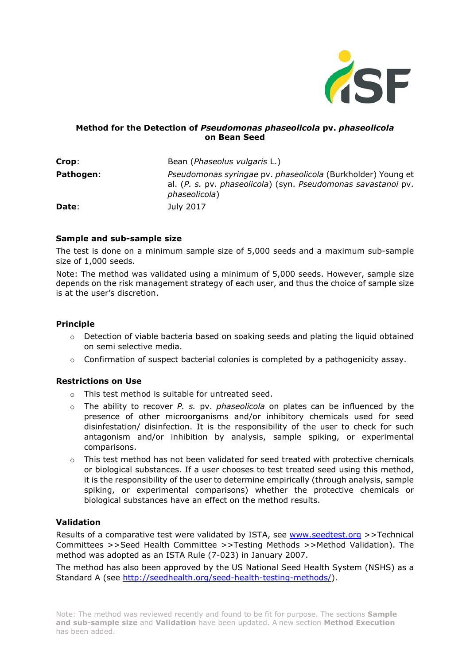

## **Method for the Detection of** *Pseudomonas phaseolicola* **pv.** *phaseolicola* **on Bean Seed**

| Crop:     | Bean ( <i>Phaseolus vulgaris L.</i> )                                                                                                         |
|-----------|-----------------------------------------------------------------------------------------------------------------------------------------------|
| Pathogen: | Pseudomonas syringae pv. phaseolicola (Burkholder) Young et<br>al. (P. s. pv. phaseolicola) (syn. Pseudomonas savastanoi pv.<br>phaseolicola) |
| Date:     | July 2017                                                                                                                                     |

#### **Sample and sub-sample size**

The test is done on a minimum sample size of 5,000 seeds and a maximum sub-sample size of 1,000 seeds.

Note: The method was validated using a minimum of 5,000 seeds. However, sample size depends on the risk management strategy of each user, and thus the choice of sample size is at the user's discretion.

#### **Principle**

- $\circ$  Detection of viable bacteria based on soaking seeds and plating the liquid obtained on semi selective media.
- $\circ$  Confirmation of suspect bacterial colonies is completed by a pathogenicity assay.

#### **Restrictions on Use**

- o This test method is suitable for untreated seed.
- o The ability to recover *P. s.* pv. *phaseolicola* on plates can be influenced by the presence of other microorganisms and/or inhibitory chemicals used for seed disinfestation/ disinfection. It is the responsibility of the user to check for such antagonism and/or inhibition by analysis, sample spiking, or experimental comparisons.
- o This test method has not been validated for seed treated with protective chemicals or biological substances. If a user chooses to test treated seed using this method, it is the responsibility of the user to determine empirically (through analysis, sample spiking, or experimental comparisons) whether the protective chemicals or biological substances have an effect on the method results.

#### **Validation**

Results of a comparative test were validated by ISTA, see [www.seedtest.org](http://www.seedtest.org/) >>Technical Committees >>Seed Health Committee >>Testing Methods >>Method Validation). The method was adopted as an ISTA Rule (7-023) in January 2007.

The method has also been approved by the US National Seed Health System (NSHS) as a Standard A (see [http://seedhealth.org/seed-health-testing-methods/\)](http://seedhealth.org/seed-health-testing-methods/).

Note: The method was reviewed recently and found to be fit for purpose. The sections **Sample and sub-sample size** and **Validation** have been updated. A new section **Method Execution** has been added.